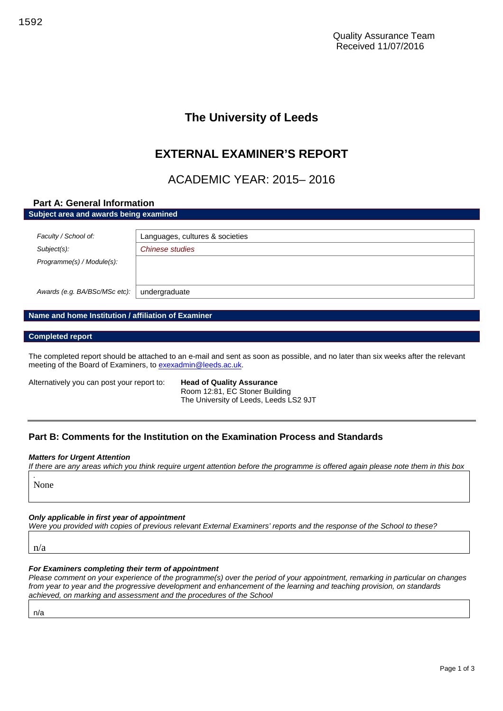## **The University of Leeds**

## **EXTERNAL EXAMINER'S REPORT**

## ACADEMIC YEAR: 2015– 2016

# **Part A: General Information Subject area and awards being examined** *Faculty / School of:* Languages, cultures & societies *Subject(s): Chinese studies Programme(s) / Module(s): Awards (e.g. BA/BSc/MSc etc):* undergraduate

#### **Name and home Institution / affiliation of Examiner**

#### **Completed report**

The completed report should be attached to an e-mail and sent as soon as possible, and no later than six weeks after the relevant meeting of the Board of Examiners, to [exexadmin@leeds.ac.uk.](mailto:exexadmin@leeds.ac.uk)

Alternatively you can post your report to: **Head of Quality Assurance**

Room 12:81, EC Stoner Building The University of Leeds, Leeds LS2 9JT

### **Part B: Comments for the Institution on the Examination Process and Standards**

#### *Matters for Urgent Attention*

*If there are any areas which you think require urgent attention before the programme is offered again please note them in this box*

None

*.*

### *Only applicable in first year of appointment*

*Were you provided with copies of previous relevant External Examiners' reports and the response of the School to these?*

n/a

#### *For Examiners completing their term of appointment*

*Please comment on your experience of the programme(s) over the period of your appointment, remarking in particular on changes from year to year and the progressive development and enhancement of the learning and teaching provision, on standards achieved, on marking and assessment and the procedures of the School*

n/a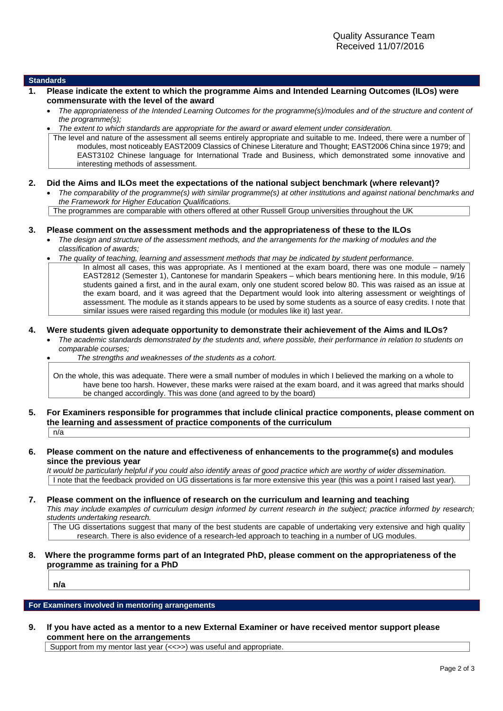#### **Standards**

- **1. Please indicate the extent to which the programme Aims and Intended Learning Outcomes (ILOs) were commensurate with the level of the award**
	- *The appropriateness of the Intended Learning Outcomes for the programme(s)/modules and of the structure and content of the programme(s);*
	- *The extent to which standards are appropriate for the award or award element under consideration.*

The level and nature of the assessment all seems entirely appropriate and suitable to me. Indeed, there were a number of modules, most noticeably EAST2009 Classics of Chinese Literature and Thought; EAST2006 China since 1979; and EAST3102 Chinese language for International Trade and Business, which demonstrated some innovative and interesting methods of assessment.

#### **2. Did the Aims and ILOs meet the expectations of the national subject benchmark (where relevant)?**

 *The comparability of the programme(s) with similar programme(s) at other institutions and against national benchmarks and the Framework for Higher Education Qualifications.*

The programmes are comparable with others offered at other Russell Group universities throughout the UK

#### **3. Please comment on the assessment methods and the appropriateness of these to the ILOs**

- *The design and structure of the assessment methods, and the arrangements for the marking of modules and the classification of awards;*
- *The quality of teaching, learning and assessment methods that may be indicated by student performance.* In almost all cases, this was appropriate. As I mentioned at the exam board, there was one module – namely EAST2812 (Semester 1), Cantonese for mandarin Speakers – which bears mentioning here. In this module, 9/16 students gained a first, and in the aural exam, only one student scored below 80. This was raised as an issue at the exam board, and it was agreed that the Department would look into altering assessment or weightings of assessment. The module as it stands appears to be used by some students as a source of easy credits. I note that similar issues were raised regarding this module (or modules like it) last year.

#### **4. Were students given adequate opportunity to demonstrate their achievement of the Aims and ILOs?**

 *The academic standards demonstrated by the students and, where possible, their performance in relation to students on comparable courses;*

*The strengths and weaknesses of the students as a cohort.*

On the whole, this was adequate. There were a small number of modules in which I believed the marking on a whole to have bene too harsh. However, these marks were raised at the exam board, and it was agreed that marks should be changed accordingly. This was done (and agreed to by the board)

**5. For Examiners responsible for programmes that include clinical practice components, please comment on the learning and assessment of practice components of the curriculum**  $n/a$ 

#### **6. Please comment on the nature and effectiveness of enhancements to the programme(s) and modules since the previous year**

*It would be particularly helpful if you could also identify areas of good practice which are worthy of wider dissemination.* I note that the feedback provided on UG dissertations is far more extensive this year (this was a point I raised last year).

**7. Please comment on the influence of research on the curriculum and learning and teaching** *This may include examples of curriculum design informed by current research in the subject; practice informed by research; students undertaking research.*

The UG dissertations suggest that many of the best students are capable of undertaking very extensive and high quality research. There is also evidence of a research-led approach to teaching in a number of UG modules.

#### **8. Where the programme forms part of an Integrated PhD, please comment on the appropriateness of the programme as training for a PhD**

**n/a**

**For Examiners involved in mentoring arrangements**

**9. If you have acted as a mentor to a new External Examiner or have received mentor support please comment here on the arrangements**

Support from my mentor last year (<<>>) was useful and appropriate.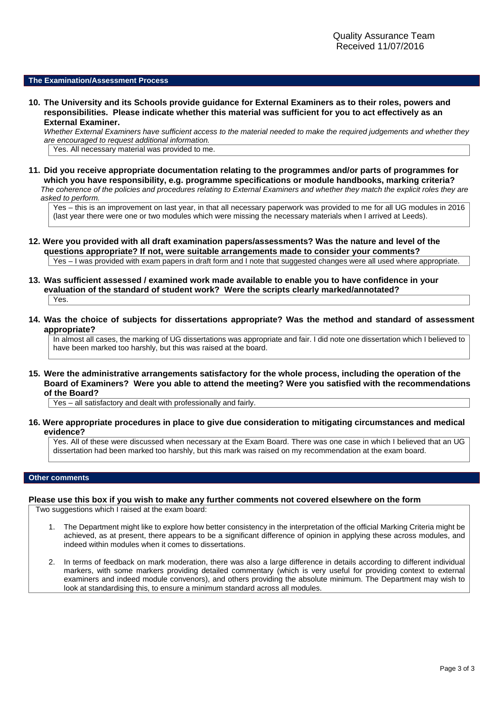#### **The Examination/Assessment Process**

**10. The University and its Schools provide guidance for External Examiners as to their roles, powers and responsibilities. Please indicate whether this material was sufficient for you to act effectively as an External Examiner.**

*Whether External Examiners have sufficient access to the material needed to make the required judgements and whether they are encouraged to request additional information.*

Yes. All necessary material was provided to me.

**11. Did you receive appropriate documentation relating to the programmes and/or parts of programmes for which you have responsibility, e.g. programme specifications or module handbooks, marking criteria?** *The coherence of the policies and procedures relating to External Examiners and whether they match the explicit roles they are asked to perform.*

Yes – this is an improvement on last year, in that all necessary paperwork was provided to me for all UG modules in 2016 (last year there were one or two modules which were missing the necessary materials when I arrived at Leeds).

- **12. Were you provided with all draft examination papers/assessments? Was the nature and level of the questions appropriate? If not, were suitable arrangements made to consider your comments?** Yes – I was provided with exam papers in draft form and I note that suggested changes were all used where appropriate.
- **13. Was sufficient assessed / examined work made available to enable you to have confidence in your evaluation of the standard of student work? Were the scripts clearly marked/annotated?** Yes.
- **14. Was the choice of subjects for dissertations appropriate? Was the method and standard of assessment appropriate?**

In almost all cases, the marking of UG dissertations was appropriate and fair. I did note one dissertation which I believed to have been marked too harshly, but this was raised at the board.

**15. Were the administrative arrangements satisfactory for the whole process, including the operation of the Board of Examiners? Were you able to attend the meeting? Were you satisfied with the recommendations of the Board?**

Yes – all satisfactory and dealt with professionally and fairly.

**16. Were appropriate procedures in place to give due consideration to mitigating circumstances and medical evidence?**

Yes. All of these were discussed when necessary at the Exam Board. There was one case in which I believed that an UG dissertation had been marked too harshly, but this mark was raised on my recommendation at the exam board.

#### **Other comments**

#### **Please use this box if you wish to make any further comments not covered elsewhere on the form**

Two suggestions which I raised at the exam board:

- 1. The Department might like to explore how better consistency in the interpretation of the official Marking Criteria might be achieved, as at present, there appears to be a significant difference of opinion in applying these across modules, and indeed within modules when it comes to dissertations.
- 2. In terms of feedback on mark moderation, there was also a large difference in details according to different individual markers, with some markers providing detailed commentary (which is very useful for providing context to external examiners and indeed module convenors), and others providing the absolute minimum. The Department may wish to look at standardising this, to ensure a minimum standard across all modules.